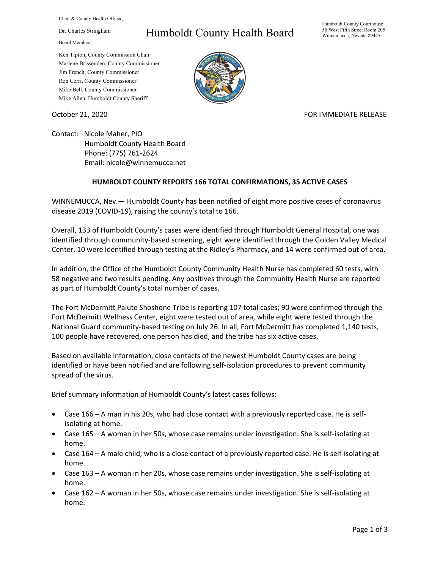Chair & County Health Officer,

Dr. Charles Stringham

Board Members,

## Humboldt County Health Board

Humboldt County Courthouse 50 West Fifth Street Room 205 Winnemucca, Nevada 89445

Ken Tipton, County Commission Chair Marlene Brissenden, County Commissioner Jim French, County Commissioner Ron Cerri, County Commissioner Mike Bell, County Commissioner Mike Allen, Humboldt County Sheriff



October 21, 2020 FOR IMMEDIATE RELEASE

Contact: Nicole Maher, PIO Humboldt County Health Board Phone: (775) 761-2624 Email: nicole@winnemucca.net

## **HUMBOLDT COUNTY REPORTS 166 TOTAL CONFIRMATIONS, 35 ACTIVE CASES**

WINNEMUCCA, Nev.— Humboldt County has been notified of eight more positive cases of coronavirus disease 2019 (COVID-19), raising the county's total to 166.

Overall, 133 of Humboldt County's cases were identified through Humboldt General Hospital, one was identified through community-based screening, eight were identified through the Golden Valley Medical Center, 10 were identified through testing at the Ridley's Pharmacy, and 14 were confirmed out of area.

In addition, the Office of the Humboldt County Community Health Nurse has completed 60 tests, with 58 negative and two results pending. Any positives through the Community Health Nurse are reported as part of Humboldt County's total number of cases.

The Fort McDermitt Paiute Shoshone Tribe is reporting 107 total cases; 90 were confirmed through the Fort McDermitt Wellness Center, eight were tested out of area, while eight were tested through the National Guard community-based testing on July 26. In all, Fort McDermitt has completed 1,140 tests, 100 people have recovered, one person has died, and the tribe has six active cases.

Based on available information, close contacts of the newest Humboldt County cases are being identified or have been notified and are following self-isolation procedures to prevent community spread of the virus.

Brief summary information of Humboldt County's latest cases follows:

- Case 166 A man in his 20s, who had close contact with a previously reported case. He is selfisolating at home.
- Case 165 A woman in her 50s, whose case remains under investigation. She is self-isolating at home.
- Case 164 A male child, who is a close contact of a previously reported case. He is self-isolating at home.
- Case 163 A woman in her 20s, whose case remains under investigation. She is self-isolating at home.
- Case 162 A woman in her 50s, whose case remains under investigation. She is self-isolating at home.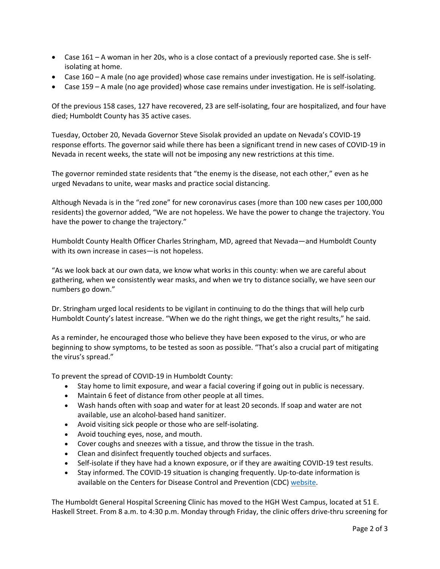- Case 161 A woman in her 20s, who is a close contact of a previously reported case. She is selfisolating at home.
- Case 160 A male (no age provided) whose case remains under investigation. He is self-isolating.
- Case 159 A male (no age provided) whose case remains under investigation. He is self-isolating.

Of the previous 158 cases, 127 have recovered, 23 are self-isolating, four are hospitalized, and four have died; Humboldt County has 35 active cases.

Tuesday, October 20, Nevada Governor Steve Sisolak provided an update on Nevada's COVID-19 response efforts. The governor said while there has been a significant trend in new cases of COVID-19 in Nevada in recent weeks, the state will not be imposing any new restrictions at this time.

The governor reminded state residents that "the enemy is the disease, not each other," even as he urged Nevadans to unite, wear masks and practice social distancing.

Although Nevada is in the "red zone" for new coronavirus cases (more than 100 new cases per 100,000 residents) the governor added, "We are not hopeless. We have the power to change the trajectory. You have the power to change the trajectory."

Humboldt County Health Officer Charles Stringham, MD, agreed that Nevada—and Humboldt County with its own increase in cases—is not hopeless.

"As we look back at our own data, we know what works in this county: when we are careful about gathering, when we consistently wear masks, and when we try to distance socially, we have seen our numbers go down."

Dr. Stringham urged local residents to be vigilant in continuing to do the things that will help curb Humboldt County's latest increase. "When we do the right things, we get the right results," he said.

As a reminder, he encouraged those who believe they have been exposed to the virus, or who are beginning to show symptoms, to be tested as soon as possible. "That's also a crucial part of mitigating the virus's spread."

To prevent the spread of COVID-19 in Humboldt County:

- Stay home to limit exposure, and wear a facial covering if going out in public is necessary.
- Maintain 6 feet of distance from other people at all times.
- Wash hands often with soap and water for at least 20 seconds. If soap and water are not available, use an alcohol-based hand sanitizer.
- Avoid visiting sick people or those who are self-isolating.
- Avoid touching eyes, nose, and mouth.
- Cover coughs and sneezes with a tissue, and throw the tissue in the trash.
- Clean and disinfect frequently touched objects and surfaces.
- Self-isolate if they have had a known exposure, or if they are awaiting COVID-19 test results.
- Stay informed. The COVID-19 situation is changing frequently. Up-to-date information is available on the Centers for Disease Control and Prevention (CDC) [website.](http://www.cdc.gov/coronavirus/2019-ncov/index.html)

The Humboldt General Hospital Screening Clinic has moved to the HGH West Campus, located at 51 E. Haskell Street. From 8 a.m. to 4:30 p.m. Monday through Friday, the clinic offers drive-thru screening for